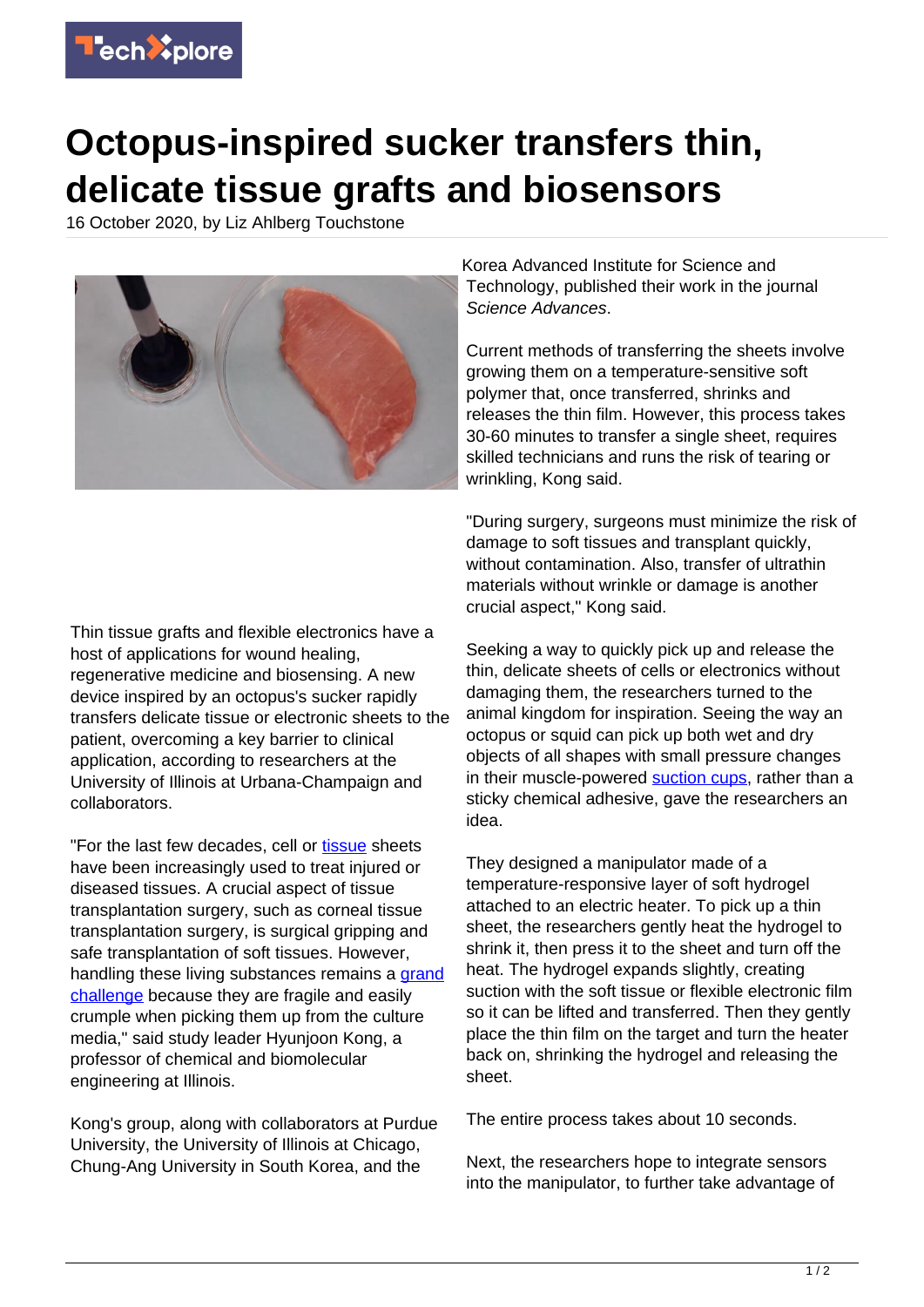

## **Octopus-inspired sucker transfers thin, delicate tissue grafts and biosensors**

16 October 2020, by Liz Ahlberg Touchstone



Thin tissue grafts and flexible electronics have a host of applications for wound healing, regenerative medicine and biosensing. A new device inspired by an octopus's sucker rapidly transfers delicate tissue or electronic sheets to the patient, overcoming a key barrier to clinical application, according to researchers at the University of Illinois at Urbana-Champaign and collaborators.

"For the last few decades, cell or [tissue](https://techxplore.com/tags/tissue/) sheets have been increasingly used to treat injured or diseased tissues. A crucial aspect of tissue transplantation surgery, such as corneal tissue transplantation surgery, is surgical gripping and safe transplantation of soft tissues. However, handling these living substances remains a [grand](https://techxplore.com/tags/grand+challenge/) [challenge](https://techxplore.com/tags/grand+challenge/) because they are fragile and easily crumple when picking them up from the culture media," said study leader Hyunjoon Kong, a professor of chemical and biomolecular engineering at Illinois.

Kong's group, along with collaborators at Purdue University, the University of Illinois at Chicago, Chung-Ang University in South Korea, and the

Korea Advanced Institute for Science and Technology, published their work in the journal Science Advances.

Current methods of transferring the sheets involve growing them on a temperature-sensitive soft polymer that, once transferred, shrinks and releases the thin film. However, this process takes 30-60 minutes to transfer a single sheet, requires skilled technicians and runs the risk of tearing or wrinkling, Kong said.

"During surgery, surgeons must minimize the risk of damage to soft tissues and transplant quickly, without contamination. Also, transfer of ultrathin materials without wrinkle or damage is another crucial aspect," Kong said.

Seeking a way to quickly pick up and release the thin, delicate sheets of cells or electronics without damaging them, the researchers turned to the animal kingdom for inspiration. Seeing the way an octopus or squid can pick up both wet and dry objects of all shapes with small pressure changes in their muscle-powered [suction cups](https://techxplore.com/tags/suction+cups/), rather than a sticky chemical adhesive, gave the researchers an idea.

They designed a manipulator made of a temperature-responsive layer of soft hydrogel attached to an electric heater. To pick up a thin sheet, the researchers gently heat the hydrogel to shrink it, then press it to the sheet and turn off the heat. The hydrogel expands slightly, creating suction with the soft tissue or flexible electronic film so it can be lifted and transferred. Then they gently place the thin film on the target and turn the heater back on, shrinking the hydrogel and releasing the sheet.

The entire process takes about 10 seconds.

Next, the researchers hope to integrate sensors into the manipulator, to further take advantage of